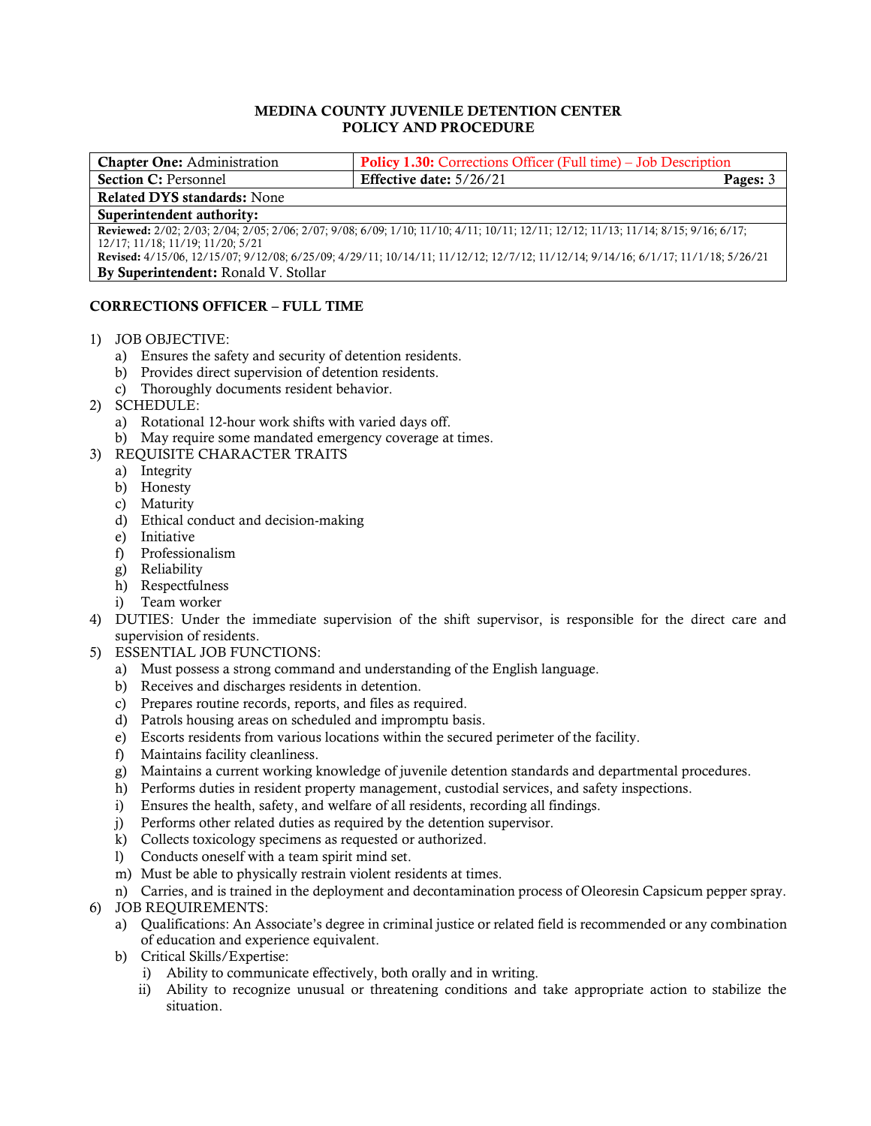## **MEDINA COUNTY JUVENILE DETENTION CENTER POLICY AND PROCEDURE**

| <b>Chapter One:</b> Administration                                                                                                | <b>Policy 1.30:</b> Corrections Officer (Full time) – Job Description |          |
|-----------------------------------------------------------------------------------------------------------------------------------|-----------------------------------------------------------------------|----------|
| <b>Section C: Personnel</b>                                                                                                       | Effective date: 5/26/21                                               | Pages: 3 |
| <b>Related DYS standards: None</b>                                                                                                |                                                                       |          |
| Superintendent authority:                                                                                                         |                                                                       |          |
| Reviewed: 2/02; 2/03; 2/04; 2/05; 2/06; 2/07; 9/08; 6/09; 1/10; 11/10; 4/11; 10/11; 12/11; 12/12; 11/13; 11/14; 8/15; 9/16; 6/17; |                                                                       |          |
| 12/17; 11/18; 11/19; 11/20; 5/21                                                                                                  |                                                                       |          |
| Revised: 4/15/06, 12/15/07; 9/12/08; 6/25/09; 4/29/11; 10/14/11; 11/12/12; 12/7/12; 11/12/14; 9/14/16; 6/1/17; 11/1/18; 5/26/21   |                                                                       |          |
| By Superintendent: Ronald V. Stollar                                                                                              |                                                                       |          |
|                                                                                                                                   |                                                                       |          |

## **CORRECTIONS OFFICER – FULL TIME**

- 1) JOB OBJECTIVE:
	- a) Ensures the safety and security of detention residents.
	- b) Provides direct supervision of detention residents.
	- c) Thoroughly documents resident behavior.
- 2) SCHEDULE:
	- a) Rotational 12-hour work shifts with varied days off.
	- b) May require some mandated emergency coverage at times.
- 3) REQUISITE CHARACTER TRAITS
	- a) Integrity
	- b) Honesty
	- c) Maturity
	- d) Ethical conduct and decision-making
	- e) Initiative
	- f) Professionalism
	- g) Reliability
	- h) Respectfulness
	- i) Team worker
- 4) DUTIES: Under the immediate supervision of the shift supervisor, is responsible for the direct care and supervision of residents.
- 5) ESSENTIAL JOB FUNCTIONS:
	- a) Must possess a strong command and understanding of the English language.
	- b) Receives and discharges residents in detention.
	- c) Prepares routine records, reports, and files as required.
	- d) Patrols housing areas on scheduled and impromptu basis.
	- e) Escorts residents from various locations within the secured perimeter of the facility.
	- f) Maintains facility cleanliness.
	- g) Maintains a current working knowledge of juvenile detention standards and departmental procedures.
	- h) Performs duties in resident property management, custodial services, and safety inspections.
	- i) Ensures the health, safety, and welfare of all residents, recording all findings.
	- j) Performs other related duties as required by the detention supervisor.
	- k) Collects toxicology specimens as requested or authorized.
	- l) Conducts oneself with a team spirit mind set.
	- m) Must be able to physically restrain violent residents at times.
	- n) Carries, and is trained in the deployment and decontamination process of Oleoresin Capsicum pepper spray.
- 6) JOB REQUIREMENTS:
	- a) Qualifications: An Associate's degree in criminal justice or related field is recommended or any combination of education and experience equivalent.
	- b) Critical Skills/Expertise:
		- i) Ability to communicate effectively, both orally and in writing.
		- ii) Ability to recognize unusual or threatening conditions and take appropriate action to stabilize the situation.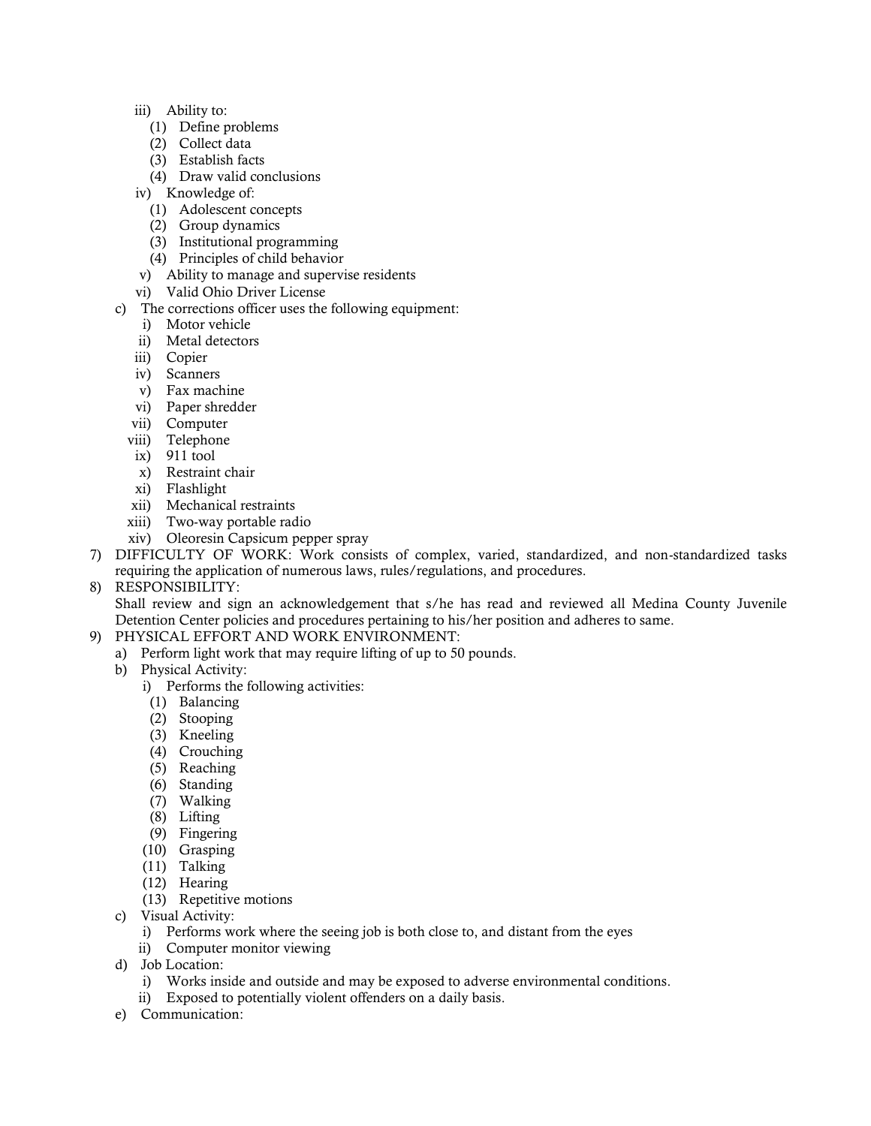- iii) Ability to:
	- (1) Define problems
	- (2) Collect data
	- (3) Establish facts
	- (4) Draw valid conclusions
- iv) Knowledge of:
	- (1) Adolescent concepts
	- (2) Group dynamics
	- (3) Institutional programming
	- (4) Principles of child behavior
- v) Ability to manage and supervise residents
- vi) Valid Ohio Driver License
- c) The corrections officer uses the following equipment:
	- i) Motor vehicle
	- ii) Metal detectors
	- iii) Copier
	- iv) Scanners
	- v) Fax machine
	- vi) Paper shredder
	- vii) Computer
	- viii) Telephone
	- $ix)$  911 tool
	- x) Restraint chair
	- xi) Flashlight
	- xii) Mechanical restraints
	- xiii) Two-way portable radio
	- xiv) Oleoresin Capsicum pepper spray
- 7) DIFFICULTY OF WORK: Work consists of complex, varied, standardized, and non-standardized tasks requiring the application of numerous laws, rules/regulations, and procedures.
- 8) RESPONSIBILITY:

Shall review and sign an acknowledgement that s/he has read and reviewed all Medina County Juvenile Detention Center policies and procedures pertaining to his/her position and adheres to same.

- 9) PHYSICAL EFFORT AND WORK ENVIRONMENT:
	- a) Perform light work that may require lifting of up to 50 pounds.
		- b) Physical Activity:
			- i) Performs the following activities:
			- (1) Balancing
			- (2) Stooping
			- (3) Kneeling
			- (4) Crouching
			- (5) Reaching
			- (6) Standing
			- (7) Walking
			- (8) Lifting
			- (9) Fingering
			- (10) Grasping
			- (11) Talking
			- (12) Hearing
			- (13) Repetitive motions
		- c) Visual Activity:
			- i) Performs work where the seeing job is both close to, and distant from the eyes
			- ii) Computer monitor viewing
		- d) Job Location:
			- i) Works inside and outside and may be exposed to adverse environmental conditions.
			- ii) Exposed to potentially violent offenders on a daily basis.
		- e) Communication: